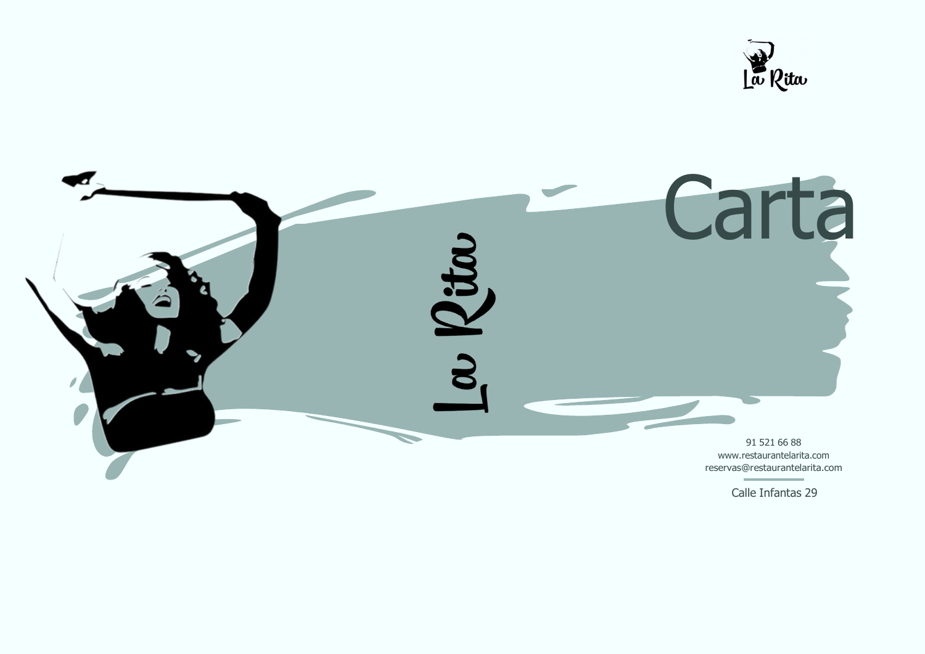



Calle Infantas 29